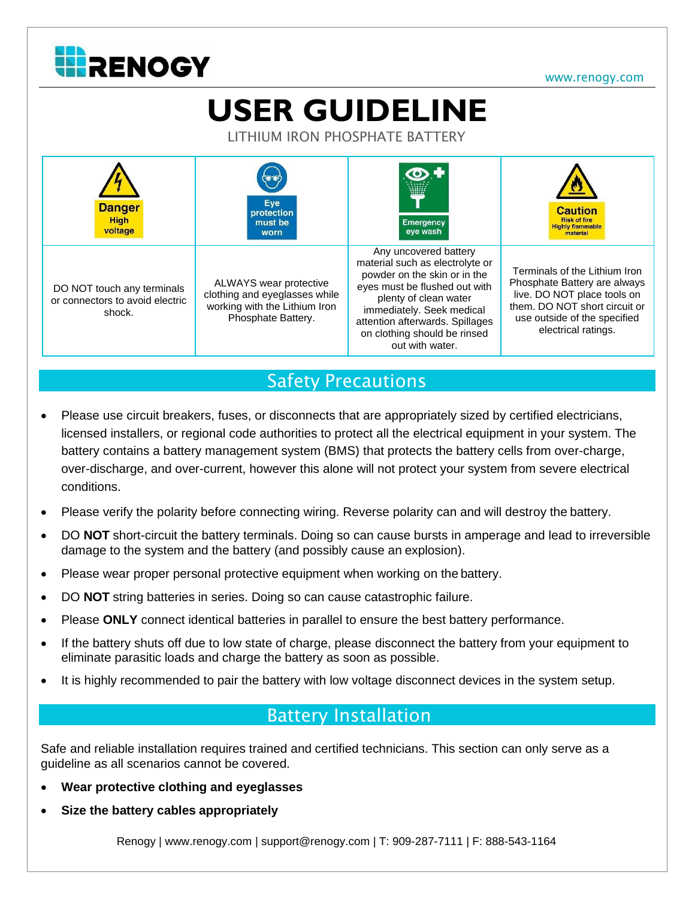

[www.renogy.com](http://www.renogy.com/)

# **USER GUIDELINE**

LITHIUM IRON PHOSPHATE BATTERY

| <b>Danger</b><br><b>High</b><br>voltage                                 | J'U,<br>Eye<br>protection<br>must be<br>worn                                                                   | <u>WW</u><br><b>Emergency</b><br>eye wash                                                                                                                                                                                                                             | <b>Caution</b><br><b>Risk of fire</b><br><b>Highly flammable</b><br>material                                                                                                         |
|-------------------------------------------------------------------------|----------------------------------------------------------------------------------------------------------------|-----------------------------------------------------------------------------------------------------------------------------------------------------------------------------------------------------------------------------------------------------------------------|--------------------------------------------------------------------------------------------------------------------------------------------------------------------------------------|
| DO NOT touch any terminals<br>or connectors to avoid electric<br>shock. | ALWAYS wear protective<br>clothing and eyeglasses while<br>working with the Lithium Iron<br>Phosphate Battery. | Any uncovered battery<br>material such as electrolyte or<br>powder on the skin or in the<br>eyes must be flushed out with<br>plenty of clean water<br>immediately. Seek medical<br>attention afterwards. Spillages<br>on clothing should be rinsed<br>out with water. | Terminals of the Lithium Iron<br>Phosphate Battery are always<br>live. DO NOT place tools on<br>them. DO NOT short circuit or<br>use outside of the specified<br>electrical ratings. |

#### Safety Precautions

- Please use circuit breakers, fuses, or disconnects that are appropriately sized by certified electricians, licensed installers, or regional code authorities to protect all the electrical equipment in your system. The battery contains a battery management system (BMS) that protects the battery cells from over-charge, over-discharge, and over-current, however this alone will not protect your system from severe electrical conditions.
- Please verify the polarity before connecting wiring. Reverse polarity can and will destroy the battery.
- DO **NOT** short-circuit the battery terminals. Doing so can cause bursts in amperage and lead to irreversible damage to the system and the battery (and possibly cause an explosion).
- Please wear proper personal protective equipment when working on the battery.
- DO **NOT** string batteries in series. Doing so can cause catastrophic failure.
- Please **ONLY** connect identical batteries in parallel to ensure the best battery performance.
- If the battery shuts off due to low state of charge, please disconnect the battery from your equipment to eliminate parasitic loads and charge the battery as soon as possible.
- It is highly recommended to pair the battery with low voltage disconnect devices in the system setup.

#### Battery Installation

Safe and reliable installation requires trained and certified technicians. This section can only serve as a guideline as all scenarios cannot be covered.

- **Wear protective clothing and eyeglasses**
- **Size the battery cables appropriately**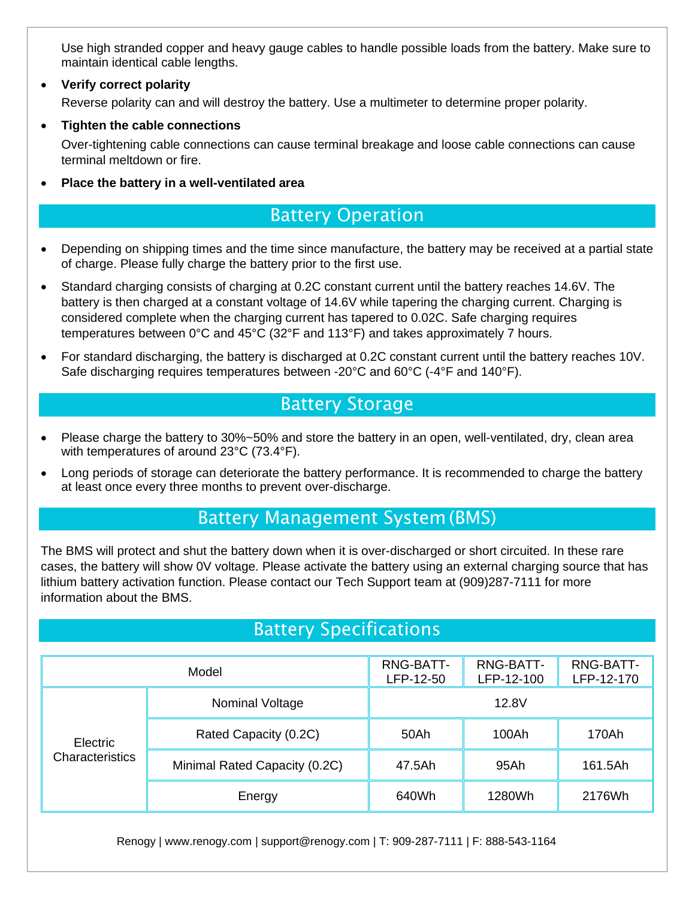Use high stranded copper and heavy gauge cables to handle possible loads from the battery. Make sure to maintain identical cable lengths.

- **Verify correct polarity** Reverse polarity can and will destroy the battery. Use a multimeter to determine proper polarity.
- **Tighten the cable connections**

Over-tightening cable connections can cause terminal breakage and loose cable connections can cause terminal meltdown or fire.

• **Place the battery in a well-ventilated area**

#### Battery Operation

- Depending on shipping times and the time since manufacture, the battery may be received at a partial state of charge. Please fully charge the battery prior to the first use.
- Standard charging consists of charging at 0.2C constant current until the battery reaches 14.6V. The battery is then charged at a constant voltage of 14.6V while tapering the charging current. Charging is considered complete when the charging current has tapered to 0.02C. Safe charging requires temperatures between 0°C and 45°C (32°F and 113°F) and takes approximately 7 hours.
- For standard discharging, the battery is discharged at 0.2C constant current until the battery reaches 10V. Safe discharging requires temperatures between -20°C and 60°C (-4°F and 140°F).

## Battery Storage

- Please charge the battery to 30%~50% and store the battery in an open, well-ventilated, dry, clean area with temperatures of around 23°C (73.4°F).
- Long periods of storage can deteriorate the battery performance. It is recommended to charge the battery at least once every three months to prevent over-discharge.

# Battery Management System(BMS)

The BMS will protect and shut the battery down when it is over-discharged or short circuited. In these rare cases, the battery will show 0V voltage. Please activate the battery using an external charging source that has lithium battery activation function. Please contact our Tech Support team at (909)287-7111 for more information about the BMS.

## Battery Specifications

| Model                              |                               | RNG-BATT-<br>LFP-12-50 | RNG-BATT-<br>LFP-12-100 | RNG-BATT-<br>LFP-12-170 |
|------------------------------------|-------------------------------|------------------------|-------------------------|-------------------------|
| Electric<br><b>Characteristics</b> | <b>Nominal Voltage</b>        | 12.8V                  |                         |                         |
|                                    | Rated Capacity (0.2C)         | 50Ah                   | 100Ah                   | 170Ah                   |
|                                    | Minimal Rated Capacity (0.2C) | 47.5Ah                 | 95Ah                    | 161.5Ah                 |
|                                    | Energy                        | 640Wh                  | 1280Wh                  | 2176Wh                  |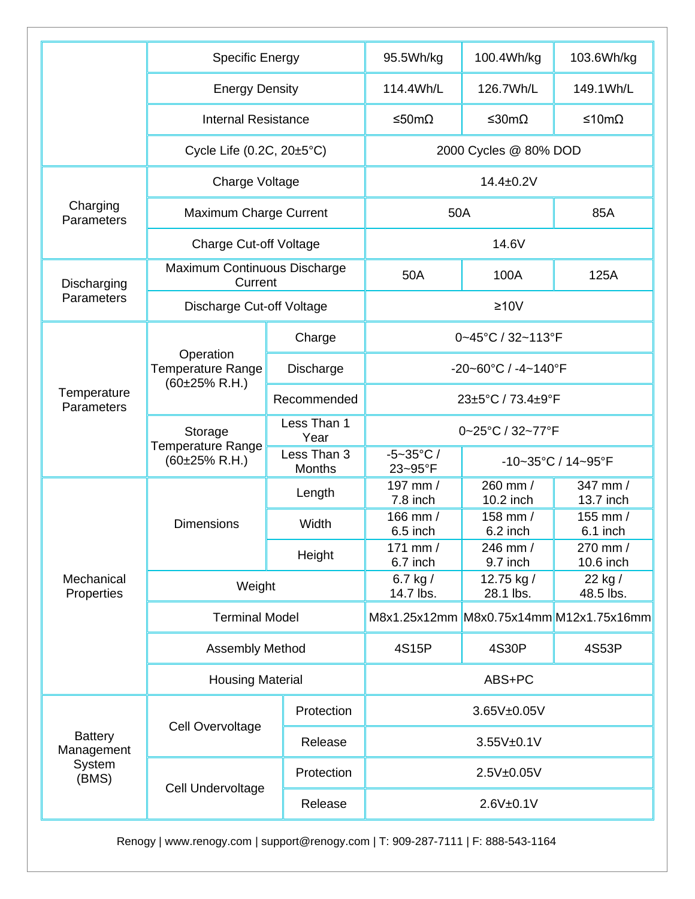|                                                 | <b>Specific Energy</b>                                    |                                      | 95.5Wh/kg                                                | 100.4Wh/kg              | 103.6Wh/kg                              |  |
|-------------------------------------------------|-----------------------------------------------------------|--------------------------------------|----------------------------------------------------------|-------------------------|-----------------------------------------|--|
|                                                 | <b>Energy Density</b>                                     |                                      | 114.4Wh/L                                                | 126.7Wh/L               | 149.1Wh/L                               |  |
|                                                 | <b>Internal Resistance</b>                                |                                      | ≤50mΩ                                                    | ≤30mΩ                   | ≤10mΩ                                   |  |
|                                                 |                                                           | Cycle Life $(0.2C, 20\pm5^{\circ}C)$ |                                                          | 2000 Cycles @ 80% DOD   |                                         |  |
| Charging<br><b>Parameters</b>                   | Charge Voltage                                            |                                      | $14.4 \pm 0.2 V$                                         |                         |                                         |  |
|                                                 | Maximum Charge Current                                    |                                      | 50A                                                      |                         | 85A                                     |  |
|                                                 | <b>Charge Cut-off Voltage</b>                             |                                      | 14.6V                                                    |                         |                                         |  |
| Discharging<br>Parameters                       | Maximum Continuous Discharge<br>Current                   |                                      | 50A                                                      | 100A                    | 125A                                    |  |
|                                                 | Discharge Cut-off Voltage                                 |                                      | $≥10V$                                                   |                         |                                         |  |
|                                                 |                                                           | Charge                               | 0~45°C / 32~113°F                                        |                         |                                         |  |
|                                                 | Operation<br>Temperature Range<br>$(60\pm25\%$ R.H.)      | Discharge                            | $-20 - 60^{\circ}$ C / $-4 - 140^{\circ}$ F              |                         |                                         |  |
| Temperature<br>Parameters                       |                                                           | Recommended                          |                                                          | 23±5°C / 73.4±9°F       |                                         |  |
|                                                 | Storage<br><b>Temperature Range</b><br>$(60\pm25\%$ R.H.) | Less Than 1<br>Year                  | 0~25°C / 32~77°F                                         |                         |                                         |  |
|                                                 |                                                           | Less Than 3<br><b>Months</b>         | $-5 - 35$ °C/<br>$-10-35^{\circ}$ C / 14~95°F<br>23~95°F |                         |                                         |  |
|                                                 | <b>Dimensions</b>                                         | Length                               | 197 mm /<br>7.8 inch                                     | 260 mm /<br>10.2 inch   | 347 mm /<br>13.7 inch                   |  |
|                                                 |                                                           | Width                                | 166 mm /<br>6.5 inch                                     | 158 mm /<br>6.2 inch    | 155 mm /<br>6.1 inch                    |  |
|                                                 |                                                           | Height                               | 171 mm /<br>6.7 inch                                     | 246 mm /<br>9.7 inch    | 270 mm /<br>10.6 inch                   |  |
| Mechanical<br>Properties                        | Weight                                                    |                                      | 6.7 kg $/$<br>14.7 lbs.                                  | 12.75 kg /<br>28.1 lbs. | 22 kg /<br>48.5 lbs.                    |  |
|                                                 | <b>Terminal Model</b>                                     |                                      |                                                          |                         | M8x1.25x12mm M8x0.75x14mm M12x1.75x16mm |  |
|                                                 | <b>Assembly Method</b>                                    |                                      | 4S15P                                                    | 4S30P                   | 4S53P                                   |  |
|                                                 | <b>Housing Material</b>                                   |                                      | ABS+PC                                                   |                         |                                         |  |
| <b>Battery</b><br>Management<br>System<br>(BMS) | Protection<br>Cell Overvoltage<br>Release                 |                                      | 3.65V±0.05V                                              |                         |                                         |  |
|                                                 |                                                           |                                      | $3.55V + 0.1V$                                           |                         |                                         |  |
|                                                 | Cell Undervoltage                                         | Protection                           | 2.5V±0.05V                                               |                         |                                         |  |
|                                                 |                                                           | Release                              | 2.6V±0.1V                                                |                         |                                         |  |